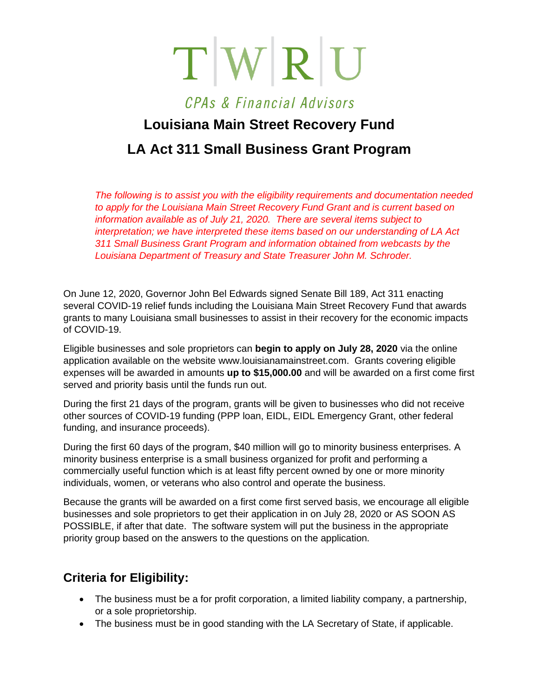$T$  W R U

### CPAs & Financial Advisors

# **Louisiana Main Street Recovery Fund LA Act 311 Small Business Grant Program**

*The following is to assist you with the eligibility requirements and documentation needed to apply for the Louisiana Main Street Recovery Fund Grant and is current based on information available as of July 21, 2020. There are several items subject to interpretation; we have interpreted these items based on our understanding of LA Act 311 Small Business Grant Program and information obtained from webcasts by the Louisiana Department of Treasury and State Treasurer John M. Schroder.*

On June 12, 2020, Governor John Bel Edwards signed Senate Bill 189, Act 311 enacting several COVID-19 relief funds including the Louisiana Main Street Recovery Fund that awards grants to many Louisiana small businesses to assist in their recovery for the economic impacts of COVID-19.

Eligible businesses and sole proprietors can **begin to apply on July 28, 2020** via the online application available on the website www.louisianamainstreet.com. Grants covering eligible expenses will be awarded in amounts **up to \$15,000.00** and will be awarded on a first come first served and priority basis until the funds run out.

During the first 21 days of the program, grants will be given to businesses who did not receive other sources of COVID-19 funding (PPP loan, EIDL, EIDL Emergency Grant, other federal funding, and insurance proceeds).

During the first 60 days of the program, \$40 million will go to minority business enterprises. A minority business enterprise is a small business organized for profit and performing a commercially useful function which is at least fifty percent owned by one or more minority individuals, women, or veterans who also control and operate the business.

Because the grants will be awarded on a first come first served basis, we encourage all eligible businesses and sole proprietors to get their application in on July 28, 2020 or AS SOON AS POSSIBLE, if after that date. The software system will put the business in the appropriate priority group based on the answers to the questions on the application.

### **Criteria for Eligibility:**

- The business must be a for profit corporation, a limited liability company, a partnership, or a sole proprietorship.
- The business must be in good standing with the LA Secretary of State, if applicable.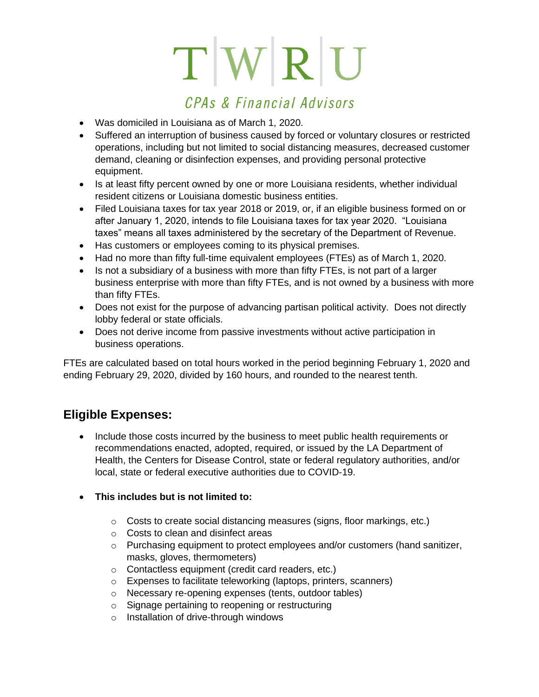# $T[W|R]$

## CPAs & Financial Advisors

- Was domiciled in Louisiana as of March 1, 2020.
- Suffered an interruption of business caused by forced or voluntary closures or restricted operations, including but not limited to social distancing measures, decreased customer demand, cleaning or disinfection expenses, and providing personal protective equipment.
- Is at least fifty percent owned by one or more Louisiana residents, whether individual resident citizens or Louisiana domestic business entities.
- Filed Louisiana taxes for tax year 2018 or 2019, or, if an eligible business formed on or after January 1, 2020, intends to file Louisiana taxes for tax year 2020. "Louisiana taxes" means all taxes administered by the secretary of the Department of Revenue.
- Has customers or employees coming to its physical premises.
- Had no more than fifty full-time equivalent employees (FTEs) as of March 1, 2020.
- Is not a subsidiary of a business with more than fifty FTEs, is not part of a larger business enterprise with more than fifty FTEs, and is not owned by a business with more than fifty FTEs.
- Does not exist for the purpose of advancing partisan political activity. Does not directly lobby federal or state officials.
- Does not derive income from passive investments without active participation in business operations.

FTEs are calculated based on total hours worked in the period beginning February 1, 2020 and ending February 29, 2020, divided by 160 hours, and rounded to the nearest tenth.

### **Eligible Expenses:**

- Include those costs incurred by the business to meet public health requirements or recommendations enacted, adopted, required, or issued by the LA Department of Health, the Centers for Disease Control, state or federal regulatory authorities, and/or local, state or federal executive authorities due to COVID-19.
- **This includes but is not limited to:**
	- o Costs to create social distancing measures (signs, floor markings, etc.)
	- o Costs to clean and disinfect areas
	- $\circ$  Purchasing equipment to protect employees and/or customers (hand sanitizer, masks, gloves, thermometers)
	- o Contactless equipment (credit card readers, etc.)
	- o Expenses to facilitate teleworking (laptops, printers, scanners)
	- o Necessary re-opening expenses (tents, outdoor tables)
	- o Signage pertaining to reopening or restructuring
	- o Installation of drive-through windows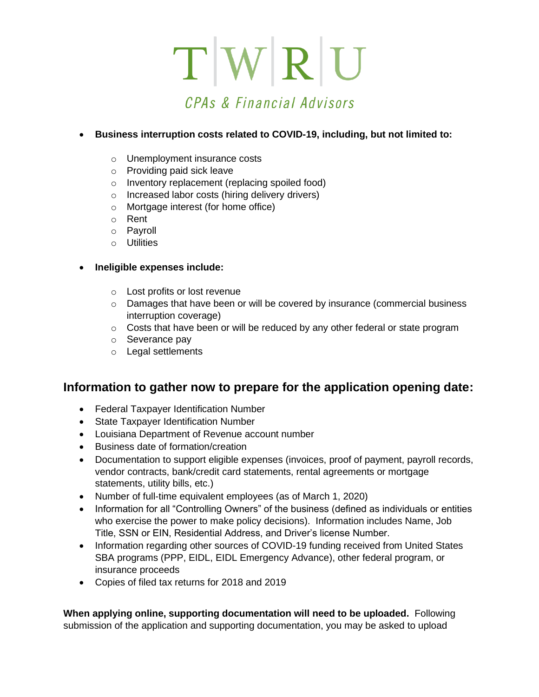# $T[W|R]$ CPAs & Financial Advisors

### • **Business interruption costs related to COVID-19, including, but not limited to:**

- o Unemployment insurance costs
- o Providing paid sick leave
- o Inventory replacement (replacing spoiled food)
- o Increased labor costs (hiring delivery drivers)
- o Mortgage interest (for home office)
- o Rent
- o Payroll
- o Utilities

#### • **Ineligible expenses include:**

- o Lost profits or lost revenue
- $\circ$  Damages that have been or will be covered by insurance (commercial business interruption coverage)
- $\circ$  Costs that have been or will be reduced by any other federal or state program
- o Severance pay
- o Legal settlements

### **Information to gather now to prepare for the application opening date:**

- Federal Taxpayer Identification Number
- State Taxpayer Identification Number
- Louisiana Department of Revenue account number
- Business date of formation/creation
- Documentation to support eligible expenses (invoices, proof of payment, payroll records, vendor contracts, bank/credit card statements, rental agreements or mortgage statements, utility bills, etc.)
- Number of full-time equivalent employees (as of March 1, 2020)
- Information for all "Controlling Owners" of the business (defined as individuals or entities who exercise the power to make policy decisions). Information includes Name, Job Title, SSN or EIN, Residential Address, and Driver's license Number.
- Information regarding other sources of COVID-19 funding received from United States SBA programs (PPP, EIDL, EIDL Emergency Advance), other federal program, or insurance proceeds
- Copies of filed tax returns for 2018 and 2019

**When applying online, supporting documentation will need to be uploaded.** Following submission of the application and supporting documentation, you may be asked to upload